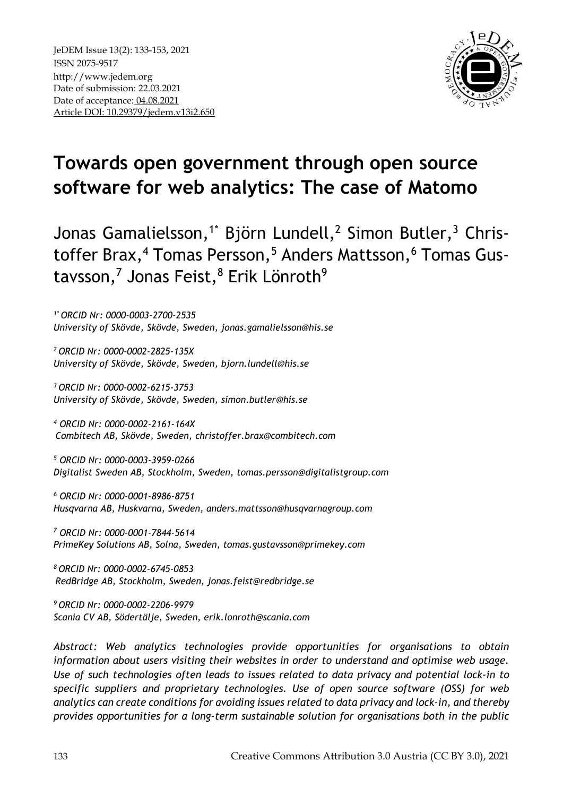

# **Towards open government through open source software for web analytics: The case of Matomo**

Jonas Gamalielsson,<sup>1\*</sup> Björn Lundell,<sup>2</sup> Simon Butler,<sup>3</sup> Christoffer Brax,<sup>4</sup> Tomas Persson,<sup>5</sup> Anders Mattsson,<sup>6</sup> Tomas Gustavsson,<sup>7</sup> Jonas Feist,<sup>8</sup> Erik Lönroth<sup>9</sup>

*1\* ORCID Nr: 0000-0003-2700-2535 University of Skövde, Skövde, Sweden, [jonas.gamalielsson@his.se](mailto:jonas.gamalielsson,%20bjorn.lundell,%20simon.butler%7d@his.se)*

*<sup>2</sup>ORCID Nr: 0000-0002-2825-135X University of Skövde, Skövde, Sweden, [bjorn.lundell@his.se](mailto:jonas.gamalielsson,%20bjorn.lundell,%20simon.butler%7d@his.se)*

*<sup>3</sup>ORCID Nr: 0000-0002-6215-3753 University of Skövde, Skövde, Sweden, simon.butler@his.se*

*<sup>4</sup> ORCID Nr: 0000-0002-2161-164X Combitech AB, Skövde, Sweden, [christoffer.brax@combitech.com](mailto:christoffer.brax@combitech.com)*

*<sup>5</sup> ORCID Nr: 0000-0003-3959-0266 Digitalist Sweden AB, Stockholm, Sweden, [tomas.persson@digitalistgroup.com](mailto:tomas.persson@digitalistgroup.com)*

*<sup>6</sup> ORCID Nr: 0000-0001-8986-8751 Husqvarna AB, Huskvarna, Sweden, anders.mattsson@husqvarnagroup.com* 

*<sup>7</sup> ORCID Nr: 0000-0001-7844-5614 PrimeKey Solutions AB, Solna, Sweden, tomas.gustavsson@primekey.com* 

*<sup>8</sup>ORCID Nr: 0000-0002-6745-0853 RedBridge AB, Stockholm, Sweden, [jonas.feist@redbridge.se](mailto:jonas.feist@redbridge.se)*

*<sup>9</sup>ORCID Nr: 0000-0002-2206-9979 Scania CV AB, Södertälje, Sweden, erik.lonroth@scania.com* 

*Abstract: Web analytics technologies provide opportunities for organisations to obtain information about users visiting their websites in order to understand and optimise web usage. Use of such technologies often leads to issues related to data privacy and potential lock-in to specific suppliers and proprietary technologies. Use of open source software (OSS) for web analytics can create conditions for avoiding issues related to data privacy and lock-in, and thereby provides opportunities for a long-term sustainable solution for organisations both in the public*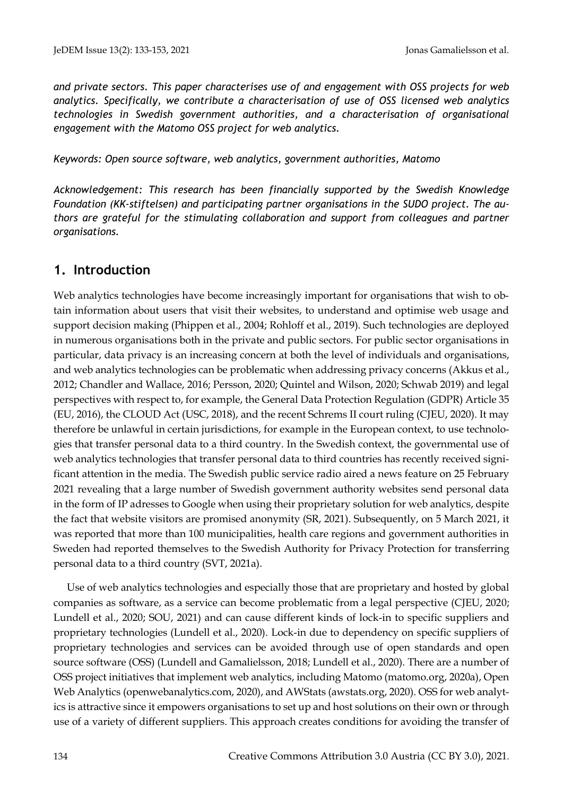*and private sectors. This paper characterises use of and engagement with OSS projects for web analytics. Specifically, we contribute a characterisation of use of OSS licensed web analytics technologies in Swedish government authorities, and a characterisation of organisational engagement with the Matomo OSS project for web analytics.*

*Keywords: Open source software, web analytics, government authorities, Matomo*

*Acknowledgement: This research has been financially supported by the Swedish Knowledge Foundation (KK-stiftelsen) and participating partner organisations in the SUDO project. The authors are grateful for the stimulating collaboration and support from colleagues and partner organisations.* 

# **1. Introduction**

Web analytics technologies have become increasingly important for organisations that wish to obtain information about users that visit their websites, to understand and optimise web usage and support decision making (Phippen et al., 2004; Rohloff et al., 2019). Such technologies are deployed in numerous organisations both in the private and public sectors. For public sector organisations in particular, data privacy is an increasing concern at both the level of individuals and organisations, and web analytics technologies can be problematic when addressing privacy concerns (Akkus et al., 2012; Chandler and Wallace, 2016; Persson, 2020; Quintel and Wilson, 2020; Schwab 2019) and legal perspectives with respect to, for example, the General Data Protection Regulation (GDPR) Article 35 (EU, 2016), the CLOUD Act (USC, 2018), and the recent Schrems II court ruling (CJEU, 2020). It may therefore be unlawful in certain jurisdictions, for example in the European context, to use technologies that transfer personal data to a third country. In the Swedish context, the governmental use of web analytics technologies that transfer personal data to third countries has recently received significant attention in the media. The Swedish public service radio aired a news feature on 25 February 2021 revealing that a large number of Swedish government authority websites send personal data in the form of IP adresses to Google when using their proprietary solution for web analytics, despite the fact that website visitors are promised anonymity (SR, 2021). Subsequently, on 5 March 2021, it was reported that more than 100 municipalities, health care regions and government authorities in Sweden had reported themselves to the Swedish Authority for Privacy Protection for transferring personal data to a third country (SVT, 2021a).

Use of web analytics technologies and especially those that are proprietary and hosted by global companies as software, as a service can become problematic from a legal perspective (CJEU, 2020; Lundell et al., 2020; SOU, 2021) and can cause different kinds of lock-in to specific suppliers and proprietary technologies (Lundell et al., 2020). Lock-in due to dependency on specific suppliers of proprietary technologies and services can be avoided through use of open standards and open source software (OSS) (Lundell and Gamalielsson, 2018; Lundell et al., 2020). There are a number of OSS project initiatives that implement web analytics, including Matomo (matomo.org, 2020a), Open Web Analytics (openwebanalytics.com, 2020), and AWStats (awstats.org, 2020). OSS for web analytics is attractive since it empowers organisations to set up and host solutions on their own or through use of a variety of different suppliers. This approach creates conditions for avoiding the transfer of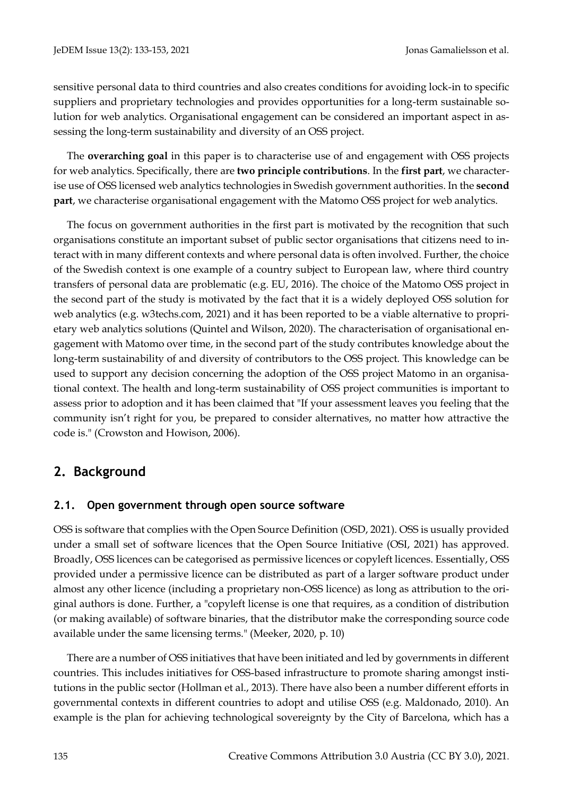sensitive personal data to third countries and also creates conditions for avoiding lock-in to specific suppliers and proprietary technologies and provides opportunities for a long-term sustainable solution for web analytics. Organisational engagement can be considered an important aspect in assessing the long-term sustainability and diversity of an OSS project.

The **overarching goal** in this paper is to characterise use of and engagement with OSS projects for web analytics. Specifically, there are **two principle contributions**. In the **first part**, we characterise use of OSS licensed web analytics technologies in Swedish government authorities. In the **second part**, we characterise organisational engagement with the Matomo OSS project for web analytics.

The focus on government authorities in the first part is motivated by the recognition that such organisations constitute an important subset of public sector organisations that citizens need to interact with in many different contexts and where personal data is often involved. Further, the choice of the Swedish context is one example of a country subject to European law, where third country transfers of personal data are problematic (e.g. EU, 2016). The choice of the Matomo OSS project in the second part of the study is motivated by the fact that it is a widely deployed OSS solution for web analytics (e.g. w3techs.com, 2021) and it has been reported to be a viable alternative to proprietary web analytics solutions (Quintel and Wilson, 2020). The characterisation of organisational engagement with Matomo over time, in the second part of the study contributes knowledge about the long-term sustainability of and diversity of contributors to the OSS project. This knowledge can be used to support any decision concerning the adoption of the OSS project Matomo in an organisational context. The health and long-term sustainability of OSS project communities is important to assess prior to adoption and it has been claimed that "If your assessment leaves you feeling that the community isn't right for you, be prepared to consider alternatives, no matter how attractive the code is." (Crowston and Howison, 2006).

# **2. Background**

# **2.1. Open government through open source software**

OSS is software that complies with the Open Source Definition (OSD, 2021). OSS is usually provided under a small set of software licences that the Open Source Initiative (OSI, 2021) has approved. Broadly, OSS licences can be categorised as permissive licences or copyleft licences. Essentially, OSS provided under a permissive licence can be distributed as part of a larger software product under almost any other licence (including a proprietary non-OSS licence) as long as attribution to the original authors is done. Further, a "copyleft license is one that requires, as a condition of distribution (or making available) of software binaries, that the distributor make the corresponding source code available under the same licensing terms." (Meeker, 2020, p. 10)

There are a number of OSS initiatives that have been initiated and led by governments in different countries. This includes initiatives for OSS-based infrastructure to promote sharing amongst institutions in the public sector (Hollman et al., 2013). There have also been a number different efforts in governmental contexts in different countries to adopt and utilise OSS (e.g. Maldonado, 2010). An example is the plan for achieving technological sovereignty by the City of Barcelona, which has a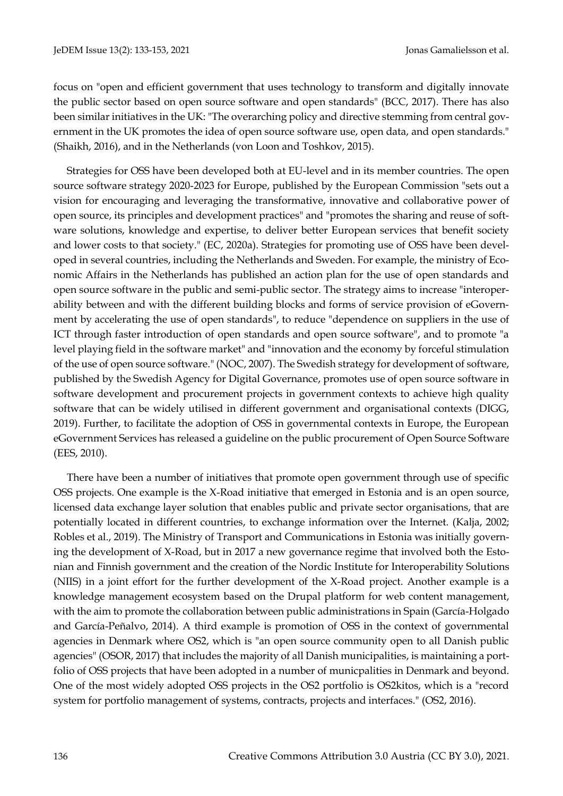focus on "open and efficient government that uses technology to transform and digitally innovate the public sector based on open source software and open standards" (BCC, 2017). There has also been similar initiatives in the UK: "The overarching policy and directive stemming from central government in the UK promotes the idea of open source software use, open data, and open standards." (Shaikh, 2016), and in the Netherlands (von Loon and Toshkov, 2015).

Strategies for OSS have been developed both at EU-level and in its member countries. The open source software strategy 2020-2023 for Europe, published by the European Commission "sets out a vision for encouraging and leveraging the transformative, innovative and collaborative power of open source, its principles and development practices" and "promotes the sharing and reuse of software solutions, knowledge and expertise, to deliver better European services that benefit society and lower costs to that society." (EC, 2020a). Strategies for promoting use of OSS have been developed in several countries, including the Netherlands and Sweden. For example, the ministry of Economic Affairs in the Netherlands has published an action plan for the use of open standards and open source software in the public and semi-public sector. The strategy aims to increase "interoperability between and with the different building blocks and forms of service provision of eGovernment by accelerating the use of open standards", to reduce "dependence on suppliers in the use of ICT through faster introduction of open standards and open source software", and to promote "a level playing field in the software market" and "innovation and the economy by forceful stimulation of the use of open source software." (NOC, 2007). The Swedish strategy for development of software, published by the Swedish Agency for Digital Governance, promotes use of open source software in software development and procurement projects in government contexts to achieve high quality software that can be widely utilised in different government and organisational contexts (DIGG, 2019). Further, to facilitate the adoption of OSS in governmental contexts in Europe, the European eGovernment Services has released a guideline on the public procurement of Open Source Software (EES, 2010).

There have been a number of initiatives that promote open government through use of specific OSS projects. One example is the X-Road initiative that emerged in Estonia and is an open source, licensed data exchange layer solution that enables public and private sector organisations, that are potentially located in different countries, to exchange information over the Internet. (Kalja, 2002; Robles et al., 2019). The Ministry of Transport and Communications in Estonia was initially governing the development of X-Road, but in 2017 a new governance regime that involved both the Estonian and Finnish government and the creation of the Nordic Institute for Interoperability Solutions (NIIS) in a joint effort for the further development of the X-Road project. Another example is a knowledge management ecosystem based on the Drupal platform for web content management, with the aim to promote the collaboration between public administrations in Spain (García-Holgado and García-Peñalvo, 2014). A third example is promotion of OSS in the context of governmental agencies in Denmark where OS2, which is "an open source community open to all Danish public agencies" (OSOR, 2017) that includes the majority of all Danish municipalities, is maintaining a portfolio of OSS projects that have been adopted in a number of municpalities in Denmark and beyond. One of the most widely adopted OSS projects in the OS2 portfolio is OS2kitos, which is a "record system for portfolio management of systems, contracts, projects and interfaces." (OS2, 2016).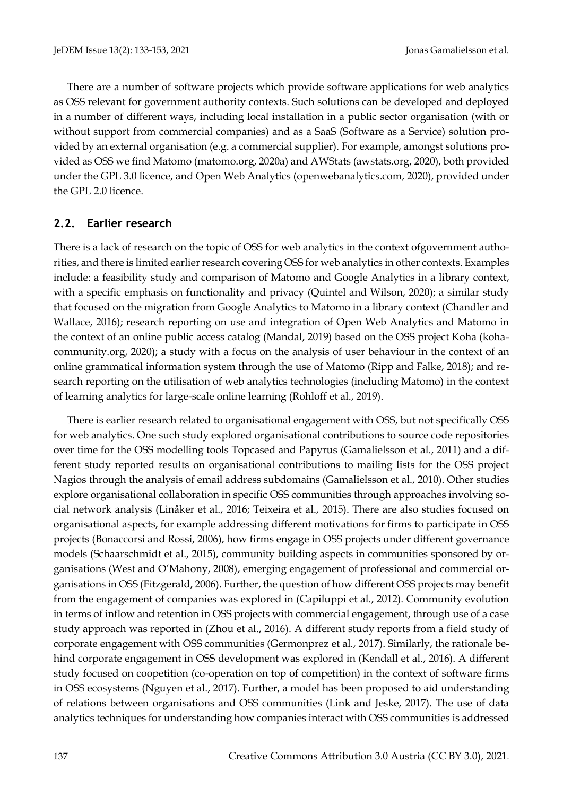There are a number of software projects which provide software applications for web analytics as OSS relevant for government authority contexts. Such solutions can be developed and deployed in a number of different ways, including local installation in a public sector organisation (with or without support from commercial companies) and as a SaaS (Software as a Service) solution provided by an external organisation (e.g. a commercial supplier). For example, amongst solutions provided as OSS we find Matomo (matomo.org, 2020a) and AWStats (awstats.org, 2020), both provided under the GPL 3.0 licence, and Open Web Analytics (openwebanalytics.com, 2020), provided under the GPL 2.0 licence.

# **2.2. Earlier research**

There is a lack of research on the topic of OSS for web analytics in the context ofgovernment authorities, and there is limited earlier research covering OSS for web analytics in other contexts. Examples include: a feasibility study and comparison of Matomo and Google Analytics in a library context, with a specific emphasis on functionality and privacy (Quintel and Wilson, 2020); a similar study that focused on the migration from Google Analytics to Matomo in a library context (Chandler and Wallace, 2016); research reporting on use and integration of Open Web Analytics and Matomo in the context of an online public access catalog (Mandal, 2019) based on the OSS project Koha (kohacommunity.org, 2020); a study with a focus on the analysis of user behaviour in the context of an online grammatical information system through the use of Matomo (Ripp and Falke, 2018); and research reporting on the utilisation of web analytics technologies (including Matomo) in the context of learning analytics for large-scale online learning (Rohloff et al., 2019).

There is earlier research related to organisational engagement with OSS, but not specifically OSS for web analytics. One such study explored organisational contributions to source code repositories over time for the OSS modelling tools Topcased and Papyrus (Gamalielsson et al., 2011) and a different study reported results on organisational contributions to mailing lists for the OSS project Nagios through the analysis of email address subdomains (Gamalielsson et al., 2010). Other studies explore organisational collaboration in specific OSS communities through approaches involving social network analysis (Linåker et al., 2016; Teixeira et al., 2015). There are also studies focused on organisational aspects, for example addressing different motivations for firms to participate in OSS projects (Bonaccorsi and Rossi, 2006), how firms engage in OSS projects under different governance models (Schaarschmidt et al., 2015), community building aspects in communities sponsored by organisations (West and O'Mahony, 2008), emerging engagement of professional and commercial organisations in OSS (Fitzgerald, 2006). Further, the question of how different OSS projects may benefit from the engagement of companies was explored in (Capiluppi et al., 2012). Community evolution in terms of inflow and retention in OSS projects with commercial engagement, through use of a case study approach was reported in (Zhou et al., 2016). A different study reports from a field study of corporate engagement with OSS communities (Germonprez et al., 2017). Similarly, the rationale behind corporate engagement in OSS development was explored in (Kendall et al., 2016). A different study focused on coopetition (co-operation on top of competition) in the context of software firms in OSS ecosystems (Nguyen et al., 2017). Further, a model has been proposed to aid understanding of relations between organisations and OSS communities (Link and Jeske, 2017). The use of data analytics techniques for understanding how companies interact with OSS communities is addressed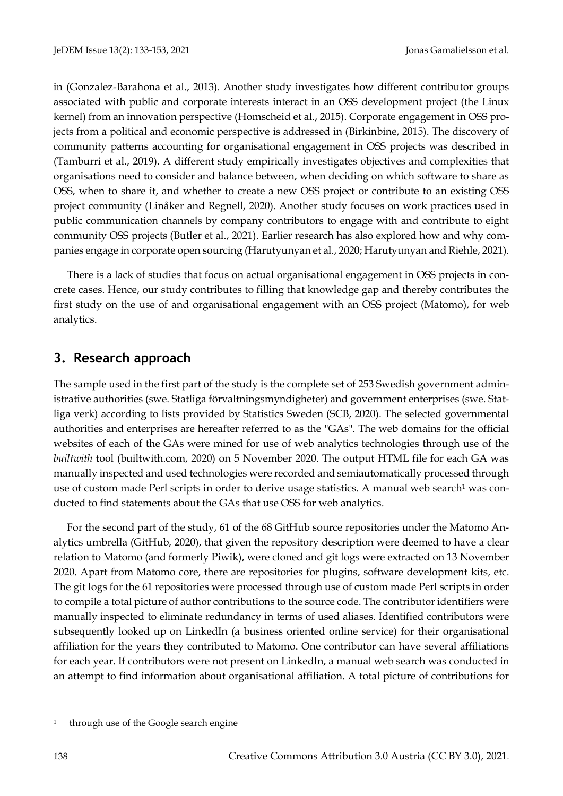in (Gonzalez-Barahona et al., 2013). Another study investigates how different contributor groups associated with public and corporate interests interact in an OSS development project (the Linux kernel) from an innovation perspective (Homscheid et al., 2015). Corporate engagement in OSS projects from a political and economic perspective is addressed in (Birkinbine, 2015). The discovery of community patterns accounting for organisational engagement in OSS projects was described in (Tamburri et al., 2019). A different study empirically investigates objectives and complexities that organisations need to consider and balance between, when deciding on which software to share as OSS, when to share it, and whether to create a new OSS project or contribute to an existing OSS project community (Linåker and Regnell, 2020). Another study focuses on work practices used in public communication channels by company contributors to engage with and contribute to eight community OSS projects (Butler et al., 2021). Earlier research has also explored how and why companies engage in corporate open sourcing (Harutyunyan et al., 2020; Harutyunyan and Riehle, 2021).

There is a lack of studies that focus on actual organisational engagement in OSS projects in concrete cases. Hence, our study contributes to filling that knowledge gap and thereby contributes the first study on the use of and organisational engagement with an OSS project (Matomo), for web analytics.

# **3. Research approach**

The sample used in the first part of the study is the complete set of 253 Swedish government administrative authorities (swe. Statliga förvaltningsmyndigheter) and government enterprises (swe. Statliga verk) according to lists provided by Statistics Sweden (SCB, 2020). The selected governmental authorities and enterprises are hereafter referred to as the "GAs". The web domains for the official websites of each of the GAs were mined for use of web analytics technologies through use of the *builtwith* tool (builtwith.com, 2020) on 5 November 2020. The output HTML file for each GA was manually inspected and used technologies were recorded and semiautomatically processed through use of custom made Perl scripts in order to derive usage statistics. A manual web search<sup>1</sup> was conducted to find statements about the GAs that use OSS for web analytics.

For the second part of the study, 61 of the 68 GitHub source repositories under the Matomo Analytics umbrella (GitHub, 2020), that given the repository description were deemed to have a clear relation to Matomo (and formerly Piwik), were cloned and git logs were extracted on 13 November 2020. Apart from Matomo core, there are repositories for plugins, software development kits, etc. The git logs for the 61 repositories were processed through use of custom made Perl scripts in order to compile a total picture of author contributions to the source code. The contributor identifiers were manually inspected to eliminate redundancy in terms of used aliases. Identified contributors were subsequently looked up on LinkedIn (a business oriented online service) for their organisational affiliation for the years they contributed to Matomo. One contributor can have several affiliations for each year. If contributors were not present on LinkedIn, a manual web search was conducted in an attempt to find information about organisational affiliation. A total picture of contributions for

<sup>1</sup> through use of the Google search engine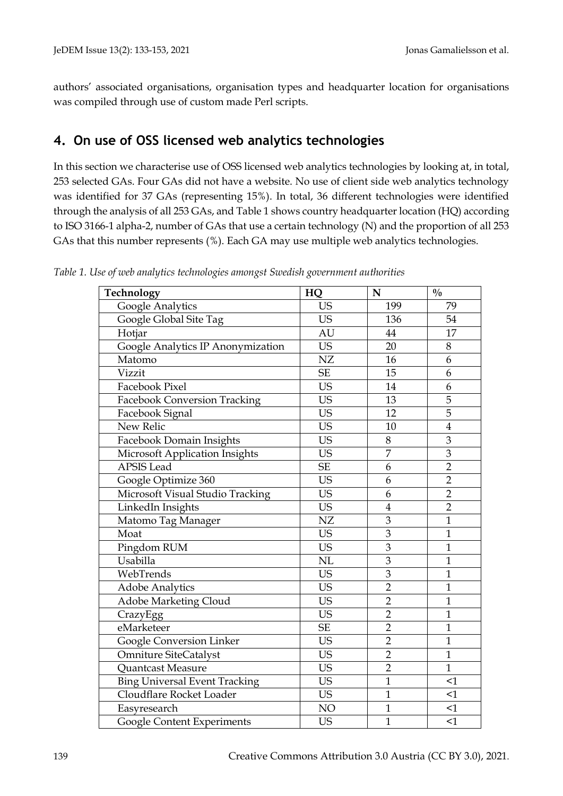authors' associated organisations, organisation types and headquarter location for organisations was compiled through use of custom made Perl scripts.

# **4. On use of OSS licensed web analytics technologies**

In this section we characterise use of OSS licensed web analytics technologies by looking at, in total, 253 selected GAs. Four GAs did not have a website. No use of client side web analytics technology was identified for 37 GAs (representing 15%). In total, 36 different technologies were identified through the analysis of all 253 GAs, and Table 1 shows country headquarter location (HQ) according to ISO 3166-1 alpha-2, number of GAs that use a certain technology (N) and the proportion of all 253 GAs that this number represents (%). Each GA may use multiple web analytics technologies.

| Technology                           | HQ                         | N              | $\frac{0}{0}$           |
|--------------------------------------|----------------------------|----------------|-------------------------|
| Google Analytics                     | <b>US</b>                  | 199            | 79                      |
| Google Global Site Tag               | <b>US</b>                  | 136            | 54                      |
| Hotjar                               | AU                         | 44             | 17                      |
| Google Analytics IP Anonymization    | <b>US</b>                  | 20             | 8                       |
| Matomo                               | NZ                         | 16             | 6                       |
| Vizzit                               | $\ensuremath{\mathsf{SE}}$ | 15             | 6                       |
| Facebook Pixel                       | <b>US</b>                  | 14             | 6                       |
| <b>Facebook Conversion Tracking</b>  | <b>US</b>                  | 13             | 5                       |
| Facebook Signal                      | <b>US</b>                  | 12             | 5                       |
| New Relic                            | <b>US</b>                  | 10             | $\overline{\mathbf{4}}$ |
| Facebook Domain Insights             | <b>US</b>                  | 8              | 3                       |
| Microsoft Application Insights       | <b>US</b>                  | $\overline{7}$ | 3                       |
| <b>APSIS</b> Lead                    | $\ensuremath{\mathsf{SE}}$ | 6              | $\overline{2}$          |
| Google Optimize 360                  | <b>US</b>                  | 6              | $\overline{2}$          |
| Microsoft Visual Studio Tracking     | <b>US</b>                  | 6              | $\overline{2}$          |
| LinkedIn Insights                    | <b>US</b>                  | $\overline{4}$ | $\overline{2}$          |
| Matomo Tag Manager                   | NZ                         | 3              | $\mathbf{1}$            |
| Moat                                 | <b>US</b>                  | $\overline{3}$ | $\mathbf{1}$            |
| Pingdom RUM                          | <b>US</b>                  | $\overline{3}$ | $\mathbf{1}$            |
| Usabilla                             | NL                         | 3              | $\mathbf{1}$            |
| WebTrends                            | <b>US</b>                  | 3              | $\mathbf{1}$            |
| <b>Adobe Analytics</b>               | <b>US</b>                  | $\overline{2}$ | $\mathbf{1}$            |
| Adobe Marketing Cloud                | <b>US</b>                  | $\overline{2}$ | $\mathbf{1}$            |
| CrazyEgg                             | <b>US</b>                  | $\overline{2}$ | $\mathbf{1}$            |
| eMarketeer                           | $\ensuremath{\mathsf{SE}}$ | $\overline{2}$ | $\mathbf{1}$            |
| Google Conversion Linker             | <b>US</b>                  | $\overline{2}$ | $\mathbf{1}$            |
| <b>Omniture SiteCatalyst</b>         | <b>US</b>                  | $\overline{2}$ | $\mathbf{1}$            |
| Quantcast Measure                    | <b>US</b>                  | $\overline{2}$ | $\mathbf{1}$            |
| <b>Bing Universal Event Tracking</b> | <b>US</b>                  | $\mathbf{1}$   | $\leq$ 1                |
| Cloudflare Rocket Loader             | <b>US</b>                  | $\mathbf{1}$   | $\leq$ 1                |
| Easyresearch                         | NO                         | $\mathbf{1}$   | $\leq$ 1                |
| Google Content Experiments           | <b>US</b>                  | $\mathbf{1}$   | $\leq$ 1                |

*Table 1. Use of web analytics technologies amongst Swedish government authorities*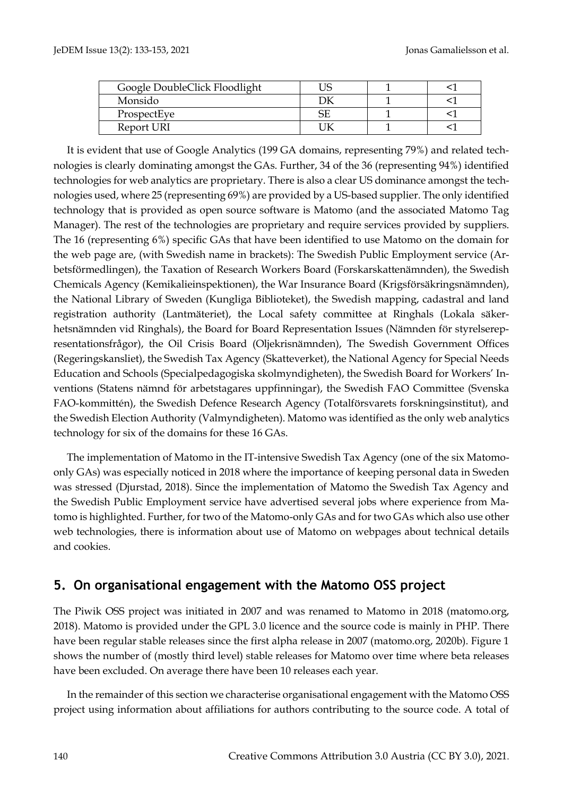| Google DoubleClick Floodlight |  |  |
|-------------------------------|--|--|
| Monsido                       |  |  |
| ProspectEye                   |  |  |
| Report URI                    |  |  |

It is evident that use of Google Analytics (199 GA domains, representing 79%) and related technologies is clearly dominating amongst the GAs. Further, 34 of the 36 (representing 94%) identified technologies for web analytics are proprietary. There is also a clear US dominance amongst the technologies used, where 25 (representing 69%) are provided by a US-based supplier. The only identified technology that is provided as open source software is Matomo (and the associated Matomo Tag Manager). The rest of the technologies are proprietary and require services provided by suppliers. The 16 (representing 6%) specific GAs that have been identified to use Matomo on the domain for the web page are, (with Swedish name in brackets): The Swedish Public Employment service (Arbetsförmedlingen), the Taxation of Research Workers Board (Forskarskattenämnden), the Swedish Chemicals Agency (Kemikalieinspektionen), the War Insurance Board (Krigsförsäkringsnämnden), the National Library of Sweden (Kungliga Biblioteket), the Swedish mapping, cadastral and land registration authority (Lantmäteriet), the Local safety committee at Ringhals (Lokala säkerhetsnämnden vid Ringhals), the Board for Board Representation Issues (Nämnden för styrelserepresentationsfrågor), the Oil Crisis Board (Oljekrisnämnden), The Swedish Government Offices (Regeringskansliet), the Swedish Tax Agency (Skatteverket), the National Agency for Special Needs Education and Schools (Specialpedagogiska skolmyndigheten), the Swedish Board for Workers' Inventions (Statens nämnd för arbetstagares uppfinningar), the Swedish FAO Committee (Svenska FAO-kommittén), the Swedish Defence Research Agency (Totalförsvarets forskningsinstitut), and the Swedish Election Authority (Valmyndigheten). Matomo was identified as the only web analytics technology for six of the domains for these 16 GAs.

The implementation of Matomo in the IT-intensive Swedish Tax Agency (one of the six Matomoonly GAs) was especially noticed in 2018 where the importance of keeping personal data in Sweden was stressed (Djurstad, 2018). Since the implementation of Matomo the Swedish Tax Agency and the Swedish Public Employment service have advertised several jobs where experience from Matomo is highlighted. Further, for two of the Matomo-only GAs and for two GAs which also use other web technologies, there is information about use of Matomo on webpages about technical details and cookies.

# **5. On organisational engagement with the Matomo OSS project**

The Piwik OSS project was initiated in 2007 and was renamed to Matomo in 2018 (matomo.org, 2018). Matomo is provided under the GPL 3.0 licence and the source code is mainly in PHP. There have been regular stable releases since the first alpha release in 2007 (matomo.org, 2020b). Figure 1 shows the number of (mostly third level) stable releases for Matomo over time where beta releases have been excluded. On average there have been 10 releases each year.

In the remainder of this section we characterise organisational engagement with the Matomo OSS project using information about affiliations for authors contributing to the source code. A total of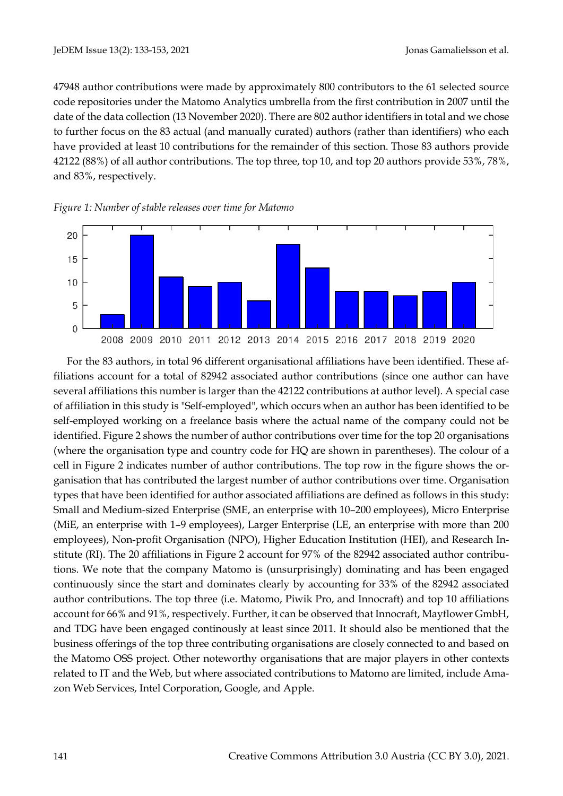47948 author contributions were made by approximately 800 contributors to the 61 selected source code repositories under the Matomo Analytics umbrella from the first contribution in 2007 until the date of the data collection (13 November 2020). There are 802 author identifiers in total and we chose to further focus on the 83 actual (and manually curated) authors (rather than identifiers) who each have provided at least 10 contributions for the remainder of this section. Those 83 authors provide 42122 (88%) of all author contributions. The top three, top 10, and top 20 authors provide 53%, 78%, and 83%, respectively.





For the 83 authors, in total 96 different organisational affiliations have been identified. These affiliations account for a total of 82942 associated author contributions (since one author can have several affiliations this number is larger than the 42122 contributions at author level). A special case of affiliation in this study is "Self-employed", which occurs when an author has been identified to be self-employed working on a freelance basis where the actual name of the company could not be identified. Figure 2 shows the number of author contributions over time for the top 20 organisations (where the organisation type and country code for HQ are shown in parentheses). The colour of a cell in Figure 2 indicates number of author contributions. The top row in the figure shows the organisation that has contributed the largest number of author contributions over time. Organisation types that have been identified for author associated affiliations are defined as follows in this study: Small and Medium-sized Enterprise (SME, an enterprise with 10–200 employees), Micro Enterprise (MiE, an enterprise with 1–9 employees), Larger Enterprise (LE, an enterprise with more than 200 employees), Non-profit Organisation (NPO), Higher Education Institution (HEI), and Research Institute (RI). The 20 affiliations in Figure 2 account for 97% of the 82942 associated author contributions. We note that the company Matomo is (unsurprisingly) dominating and has been engaged continuously since the start and dominates clearly by accounting for 33% of the 82942 associated author contributions. The top three (i.e. Matomo, Piwik Pro, and Innocraft) and top 10 affiliations account for 66% and 91%, respectively. Further, it can be observed that Innocraft, Mayflower GmbH, and TDG have been engaged continously at least since 2011. It should also be mentioned that the business offerings of the top three contributing organisations are closely connected to and based on the Matomo OSS project. Other noteworthy organisations that are major players in other contexts related to IT and the Web, but where associated contributions to Matomo are limited, include Amazon Web Services, Intel Corporation, Google, and Apple.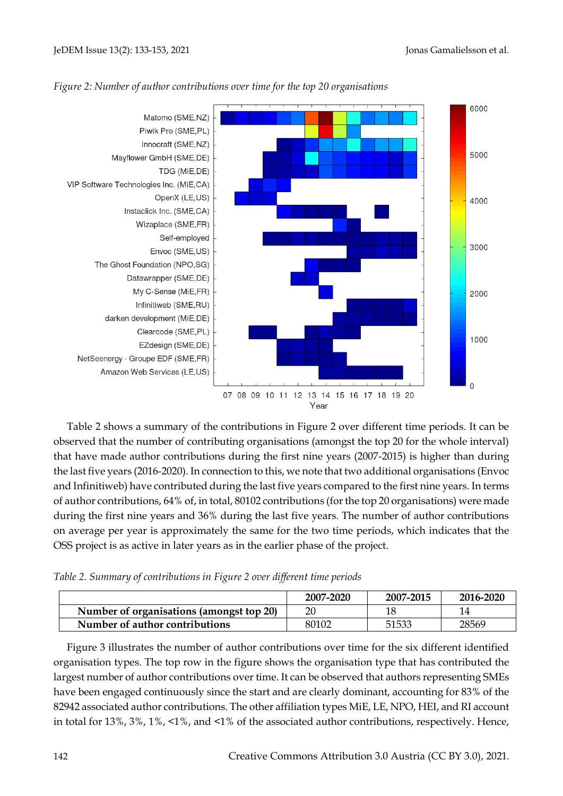

## *Figure 2: Number of author contributions over time for the top 20 organisations*

Table 2 shows a summary of the contributions in Figure 2 over different time periods. It can be observed that the number of contributing organisations (amongst the top 20 for the whole interval) that have made author contributions during the first nine years (2007-2015) is higher than during the last five years (2016-2020). In connection to this, we note that two additional organisations (Envoc and Infinitiweb) have contributed during the last five years compared to the first nine years. In terms of author contributions, 64% of, in total, 80102 contributions (for the top 20 organisations) were made during the first nine years and 36% during the last five years. The number of author contributions on average per year is approximately the same for the two time periods, which indicates that the OSS project is as active in later years as in the earlier phase of the project.

| Table 2. Summary of contributions in Figure 2 over different time periods |  |  |  |  |
|---------------------------------------------------------------------------|--|--|--|--|
|                                                                           |  |  |  |  |

|                                          | 2007-2020 | 2007-2015 | 2016-2020 |
|------------------------------------------|-----------|-----------|-----------|
| Number of organisations (amongst top 20) | 20        |           |           |
| Number of author contributions           | 80102     | 51533     | 28569     |

Figure 3 illustrates the number of author contributions over time for the six different identified organisation types. The top row in the figure shows the organisation type that has contributed the largest number of author contributions over time. It can be observed that authors representing SMEs have been engaged continuously since the start and are clearly dominant, accounting for 83% of the 82942 associated author contributions. The other affiliation types MiE, LE, NPO, HEI, and RI account in total for 13%, 3%, 1%, <1%, and <1% of the associated author contributions, respectively. Hence,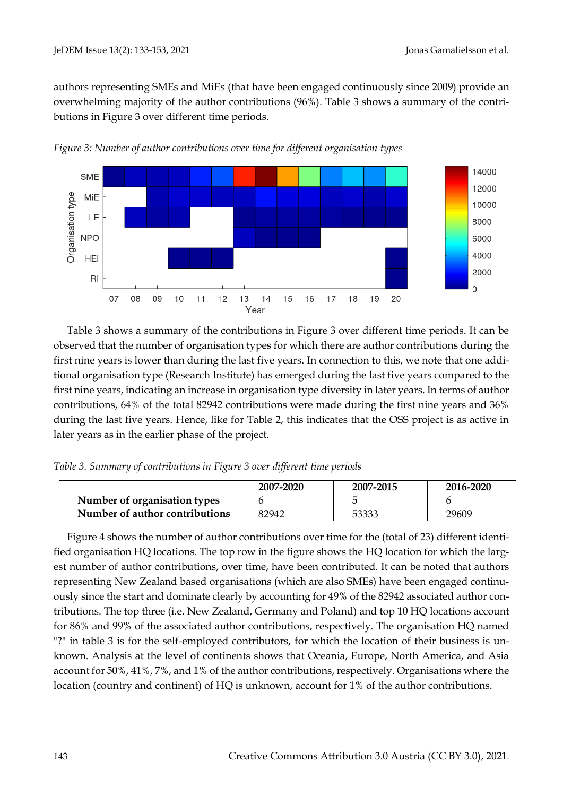authors representing SMEs and MiEs (that have been engaged continuously since 2009) provide an overwhelming majority of the author contributions (96%). Table 3 shows a summary of the contributions in Figure 3 over different time periods.



*Figure 3: Number of author contributions over time for different organisation types*

Table 3 shows a summary of the contributions in Figure 3 over different time periods. It can be observed that the number of organisation types for which there are author contributions during the first nine years is lower than during the last five years. In connection to this, we note that one additional organisation type (Research Institute) has emerged during the last five years compared to the first nine years, indicating an increase in organisation type diversity in later years. In terms of author contributions, 64% of the total 82942 contributions were made during the first nine years and 36% during the last five years. Hence, like for Table 2, this indicates that the OSS project is as active in later years as in the earlier phase of the project.

*Table 3. Summary of contributions in Figure 3 over different time periods*

|                                | 2007-2020 | 2007-2015 | 2016-2020 |
|--------------------------------|-----------|-----------|-----------|
| Number of organisation types   |           |           |           |
| Number of author contributions | 82942     | 53333     | 29609     |

Figure 4 shows the number of author contributions over time for the (total of 23) different identified organisation HQ locations. The top row in the figure shows the HQ location for which the largest number of author contributions, over time, have been contributed. It can be noted that authors representing New Zealand based organisations (which are also SMEs) have been engaged continuously since the start and dominate clearly by accounting for 49% of the 82942 associated author contributions. The top three (i.e. New Zealand, Germany and Poland) and top 10 HQ locations account for 86% and 99% of the associated author contributions, respectively. The organisation HQ named "?" in table 3 is for the self-employed contributors, for which the location of their business is unknown. Analysis at the level of continents shows that Oceania, Europe, North America, and Asia account for 50%, 41%, 7%, and 1% of the author contributions, respectively. Organisations where the location (country and continent) of HQ is unknown, account for 1% of the author contributions.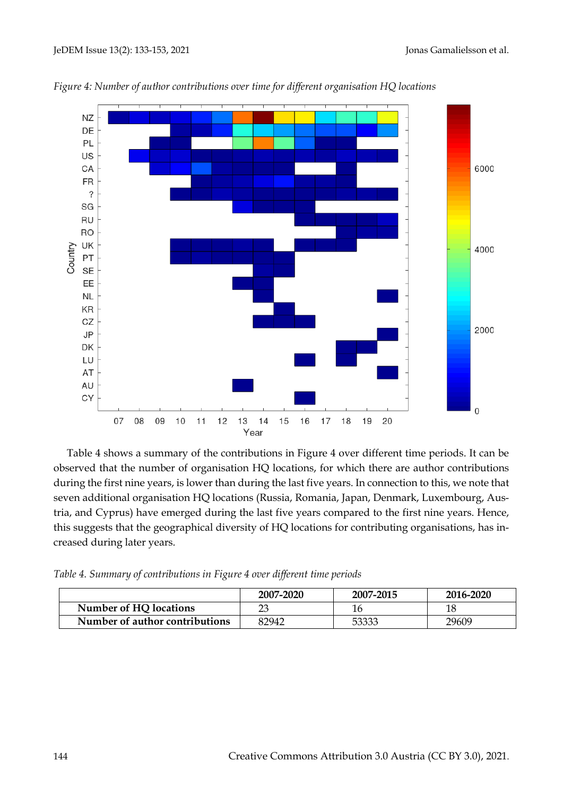

*Figure 4: Number of author contributions over time for different organisation HQ locations*

Table 4 shows a summary of the contributions in Figure 4 over different time periods. It can be observed that the number of organisation HQ locations, for which there are author contributions during the first nine years, is lower than during the last five years. In connection to this, we note that seven additional organisation HQ locations (Russia, Romania, Japan, Denmark, Luxembourg, Austria, and Cyprus) have emerged during the last five years compared to the first nine years. Hence, this suggests that the geographical diversity of HQ locations for contributing organisations, has increased during later years.

*Table 4. Summary of contributions in Figure 4 over different time periods*

|                                | 2007-2020 | 2007-2015 | 2016-2020 |
|--------------------------------|-----------|-----------|-----------|
| Number of HQ locations         | 23        |           | 18        |
| Number of author contributions | 82942     | 53333     | 29609     |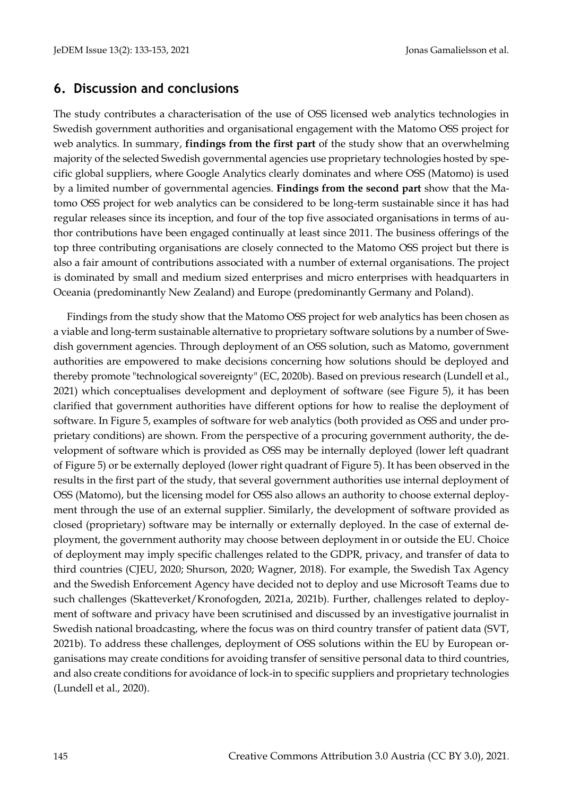# **6. Discussion and conclusions**

The study contributes a characterisation of the use of OSS licensed web analytics technologies in Swedish government authorities and organisational engagement with the Matomo OSS project for web analytics. In summary, **findings from the first part** of the study show that an overwhelming majority of the selected Swedish governmental agencies use proprietary technologies hosted by specific global suppliers, where Google Analytics clearly dominates and where OSS (Matomo) is used by a limited number of governmental agencies. **Findings from the second part** show that the Matomo OSS project for web analytics can be considered to be long-term sustainable since it has had regular releases since its inception, and four of the top five associated organisations in terms of author contributions have been engaged continually at least since 2011. The business offerings of the top three contributing organisations are closely connected to the Matomo OSS project but there is also a fair amount of contributions associated with a number of external organisations. The project is dominated by small and medium sized enterprises and micro enterprises with headquarters in Oceania (predominantly New Zealand) and Europe (predominantly Germany and Poland).

Findings from the study show that the Matomo OSS project for web analytics has been chosen as a viable and long-term sustainable alternative to proprietary software solutions by a number of Swedish government agencies. Through deployment of an OSS solution, such as Matomo, government authorities are empowered to make decisions concerning how solutions should be deployed and thereby promote "technological sovereignty" (EC, 2020b). Based on previous research (Lundell et al., 2021) which conceptualises development and deployment of software (see Figure 5), it has been clarified that government authorities have different options for how to realise the deployment of software. In Figure 5, examples of software for web analytics (both provided as OSS and under proprietary conditions) are shown. From the perspective of a procuring government authority, the development of software which is provided as OSS may be internally deployed (lower left quadrant of Figure 5) or be externally deployed (lower right quadrant of Figure 5). It has been observed in the results in the first part of the study, that several government authorities use internal deployment of OSS (Matomo), but the licensing model for OSS also allows an authority to choose external deployment through the use of an external supplier. Similarly, the development of software provided as closed (proprietary) software may be internally or externally deployed. In the case of external deployment, the government authority may choose between deployment in or outside the EU. Choice of deployment may imply specific challenges related to the GDPR, privacy, and transfer of data to third countries (CJEU, 2020; Shurson, 2020; Wagner, 2018). For example, the Swedish Tax Agency and the Swedish Enforcement Agency have decided not to deploy and use Microsoft Teams due to such challenges (Skatteverket/Kronofogden, 2021a, 2021b). Further, challenges related to deployment of software and privacy have been scrutinised and discussed by an investigative journalist in Swedish national broadcasting, where the focus was on third country transfer of patient data (SVT, 2021b). To address these challenges, deployment of OSS solutions within the EU by European organisations may create conditions for avoiding transfer of sensitive personal data to third countries, and also create conditions for avoidance of lock-in to specific suppliers and proprietary technologies (Lundell et al., 2020).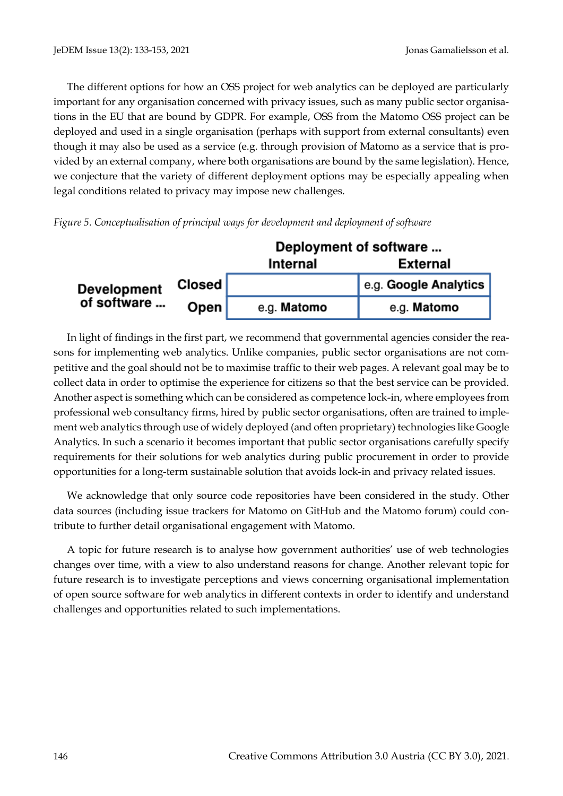The different options for how an OSS project for web analytics can be deployed are particularly important for any organisation concerned with privacy issues, such as many public sector organisations in the EU that are bound by GDPR. For example, OSS from the Matomo OSS project can be deployed and used in a single organisation (perhaps with support from external consultants) even though it may also be used as a service (e.g. through provision of Matomo as a service that is provided by an external company, where both organisations are bound by the same legislation). Hence, we conjecture that the variety of different deployment options may be especially appealing when legal conditions related to privacy may impose new challenges.





In light of findings in the first part, we recommend that governmental agencies consider the reasons for implementing web analytics. Unlike companies, public sector organisations are not competitive and the goal should not be to maximise traffic to their web pages. A relevant goal may be to collect data in order to optimise the experience for citizens so that the best service can be provided. Another aspect is something which can be considered as competence lock-in, where employees from professional web consultancy firms, hired by public sector organisations, often are trained to implement web analytics through use of widely deployed (and often proprietary) technologies like Google Analytics. In such a scenario it becomes important that public sector organisations carefully specify requirements for their solutions for web analytics during public procurement in order to provide opportunities for a long-term sustainable solution that avoids lock-in and privacy related issues.

We acknowledge that only source code repositories have been considered in the study. Other data sources (including issue trackers for Matomo on GitHub and the Matomo forum) could contribute to further detail organisational engagement with Matomo.

A topic for future research is to analyse how government authorities' use of web technologies changes over time, with a view to also understand reasons for change. Another relevant topic for future research is to investigate perceptions and views concerning organisational implementation of open source software for web analytics in different contexts in order to identify and understand challenges and opportunities related to such implementations.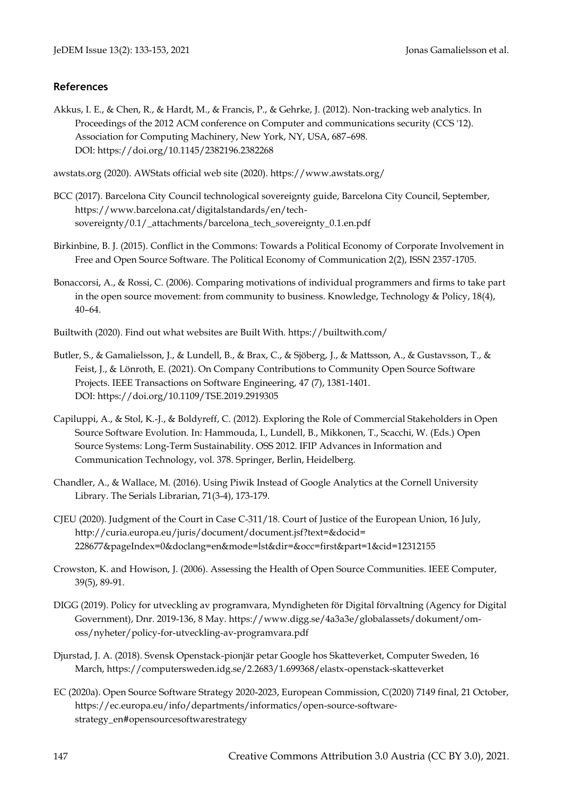## **References**

Akkus, I. E., & Chen, R., & Hardt, M., & Francis, P., & Gehrke, J. (2012). Non-tracking web analytics. In Proceedings of the 2012 ACM conference on Computer and communications security (CCS '12). Association for Computing Machinery, New York, NY, USA, 687–698. DOI: https://doi.org/10.1145/2382196.2382268

awstats.org (2020). AWStats official web site (2020). https://www.awstats.org/

- BCC (2017). Barcelona City Council technological sovereignty guide, Barcelona City Council, September, https://www.barcelona.cat/digitalstandards/en/techsovereignty/0.1/\_attachments/barcelona\_tech\_sovereignty\_0.1.en.pdf
- Birkinbine, B. J. (2015). Conflict in the Commons: Towards a Political Economy of Corporate Involvement in Free and Open Source Software. The Political Economy of Communication 2(2), ISSN 2357-1705.
- Bonaccorsi, A., & Rossi, C. (2006). Comparing motivations of individual programmers and firms to take part in the open source movement: from community to business. Knowledge, Technology & Policy, 18(4), 40–64.
- Builtwith (2020). Find out what websites are Built With. https://builtwith.com/
- Butler, S., & Gamalielsson, J., & Lundell, B., & Brax, C., & Sjöberg, J., & Mattsson, A., & Gustavsson, T., & Feist, J., & Lönroth, E. (2021). On Company Contributions to Community Open Source Software Projects. IEEE Transactions on Software Engineering, 47 (7), 1381-1401. DOI: https://doi.org/10.1109/TSE.2019.2919305
- Capiluppi, A., & Stol, K.-J., & Boldyreff, C. (2012). Exploring the Role of Commercial Stakeholders in Open Source Software Evolution. In: Hammouda, I., Lundell, B., Mikkonen, T., Scacchi, W. (Eds.) Open Source Systems: Long-Term Sustainability. OSS 2012. IFIP Advances in Information and Communication Technology, vol. 378. Springer, Berlin, Heidelberg.
- Chandler, A., & Wallace, M. (2016). Using Piwik Instead of Google Analytics at the Cornell University Library. The Serials Librarian, 71(3-4), 173-179.
- CJEU (2020). Judgment of the Court in Case C-311/18. Court of Justice of the European Union, 16 July, http://curia.europa.eu/juris/document/document.jsf?text=&docid= 228677&pageIndex=0&doclang=en&mode=lst&dir=&occ=first&part=1&cid=12312155
- Crowston, K. and Howison, J. (2006). Assessing the Health of Open Source Communities. IEEE Computer, 39(5), 89-91.
- DIGG (2019). Policy for utveckling av programvara, Myndigheten för Digital förvaltning (Agency for Digital Government), Dnr. 2019-136, 8 May. https://www.digg.se/4a3a3e/globalassets/dokument/omoss/nyheter/policy-for-utveckling-av-programvara.pdf
- Djurstad, J. A. (2018). Svensk Openstack-pionjär petar Google hos Skatteverket, Computer Sweden, 16 March, https://computersweden.idg.se/2.2683/1.699368/elastx-openstack-skatteverket
- EC (2020a). Open Source Software Strategy 2020-2023, European Commission, C(2020) 7149 final, 21 October, https://ec.europa.eu/info/departments/informatics/open-source-softwarestrategy\_en#opensourcesoftwarestrategy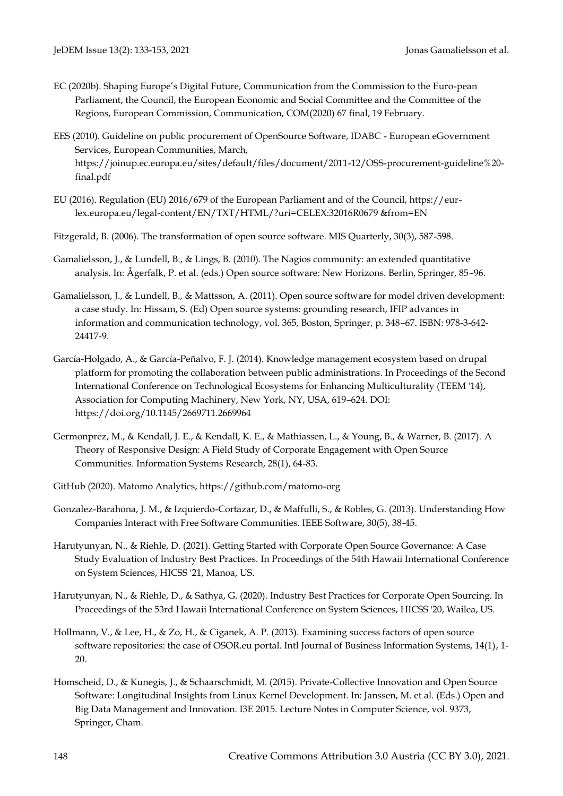- EC (2020b). Shaping Europe's Digital Future, Communication from the Commission to the Euro-pean Parliament, the Council, the European Economic and Social Committee and the Committee of the Regions, European Commission, Communication, COM(2020) 67 final, 19 February.
- EES (2010). Guideline on public procurement of OpenSource Software, IDABC European eGovernment Services, European Communities, March, https://joinup.ec.europa.eu/sites/default/files/document/2011-12/OSS-procurement-guideline%20 final.pdf
- EU (2016). Regulation (EU) 2016/679 of the European Parliament and of the Council, https://eurlex.europa.eu/legal-content/EN/TXT/HTML/?uri=CELEX:32016R0679 &from=EN
- Fitzgerald, B. (2006). The transformation of open source software. MIS Quarterly, 30(3), 587-598.
- Gamalielsson, J., & Lundell, B., & Lings, B. (2010). The Nagios community: an extended quantitative analysis. In: Ågerfalk, P. et al. (eds.) Open source software: New Horizons. Berlin, Springer, 85–96.
- Gamalielsson, J., & Lundell, B., & Mattsson, A. (2011). Open source software for model driven development: a case study. In: Hissam, S. (Ed) Open source systems: grounding research, IFIP advances in information and communication technology, vol. 365, Boston, Springer, p. 348–67. ISBN: 978-3-642- 24417-9.
- García-Holgado, A., & García-Peñalvo, F. J. (2014). Knowledge management ecosystem based on drupal platform for promoting the collaboration between public administrations. In Proceedings of the Second International Conference on Technological Ecosystems for Enhancing Multiculturality (TEEM '14), Association for Computing Machinery, New York, NY, USA, 619–624. DOI: https://doi.org/10.1145/2669711.2669964
- Germonprez, M., & Kendall, J. E., & Kendall, K. E., & Mathiassen, L., & Young, B., & Warner, B. (2017). A Theory of Responsive Design: A Field Study of Corporate Engagement with Open Source Communities. Information Systems Research, 28(1), 64-83.
- GitHub (2020). Matomo Analytics, https://github.com/matomo-org
- Gonzalez-Barahona, J. M., & Izquierdo-Cortazar, D., & Maffulli, S., & Robles, G. (2013). Understanding How Companies Interact with Free Software Communities. IEEE Software, 30(5), 38-45.
- Harutyunyan, N., & Riehle, D. (2021). Getting Started with Corporate Open Source Governance: A Case Study Evaluation of Industry Best Practices. In Proceedings of the 54th Hawaii International Conference on System Sciences, HICSS '21, Manoa, US.
- Harutyunyan, N., & Riehle, D., & Sathya, G. (2020). Industry Best Practices for Corporate Open Sourcing. In Proceedings of the 53rd Hawaii International Conference on System Sciences, HICSS '20, Wailea, US.
- Hollmann, V., & Lee, H., & Zo, H., & Ciganek, A. P. (2013). Examining success factors of open source software repositories: the case of OSOR.eu portal. Intl Journal of Business Information Systems, 14(1), 1- 20.
- Homscheid, D., & Kunegis, J., & Schaarschmidt, M. (2015). Private-Collective Innovation and Open Source Software: Longitudinal Insights from Linux Kernel Development. In: Janssen, M. et al. (Eds.) Open and Big Data Management and Innovation. I3E 2015. Lecture Notes in Computer Science, vol. 9373, Springer, Cham.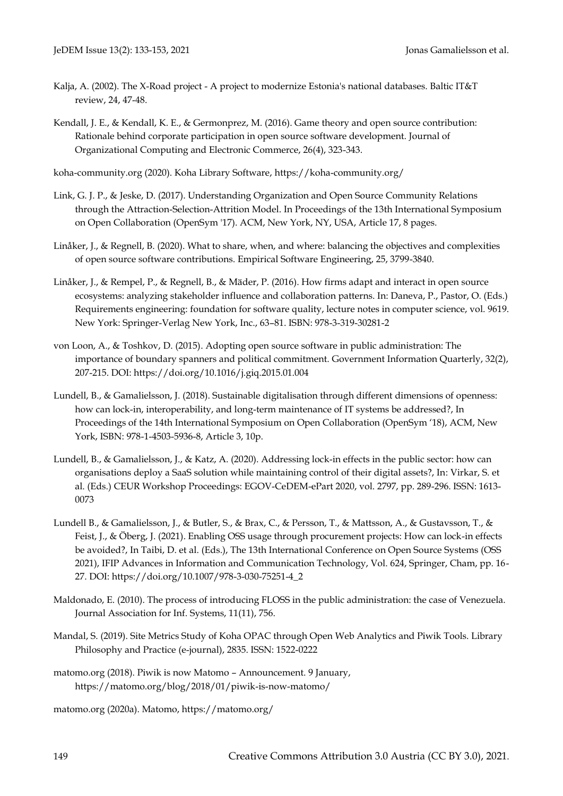- Kalja, A. (2002). The X-Road project A project to modernize Estonia's national databases. Baltic IT&T review, 24, 47-48.
- Kendall, J. E., & Kendall, K. E., & Germonprez, M. (2016). Game theory and open source contribution: Rationale behind corporate participation in open source software development. Journal of Organizational Computing and Electronic Commerce, 26(4), 323-343.

koha-community.org (2020). Koha Library Software, https://koha-community.org/

- Link, G. J. P., & Jeske, D. (2017). Understanding Organization and Open Source Community Relations through the Attraction-Selection-Attrition Model. In Proceedings of the 13th International Symposium on Open Collaboration (OpenSym '17). ACM, New York, NY, USA, Article 17, 8 pages.
- Linåker, J., & Regnell, B. (2020). What to share, when, and where: balancing the objectives and complexities of open source software contributions. Empirical Software Engineering, 25, 3799-3840.
- Linåker, J., & Rempel, P., & Regnell, B., & Mäder, P. (2016). How firms adapt and interact in open source ecosystems: analyzing stakeholder influence and collaboration patterns. In: Daneva, P., Pastor, O. (Eds.) Requirements engineering: foundation for software quality, lecture notes in computer science, vol. 9619. New York: Springer-Verlag New York, Inc., 63–81. ISBN: 978-3-319-30281-2
- von Loon, A., & Toshkov, D. (2015). Adopting open source software in public administration: The importance of boundary spanners and political commitment. Government Information Quarterly, 32(2), 207-215. DOI: https://doi.org/10.1016/j.giq.2015.01.004
- Lundell, B., & Gamalielsson, J. (2018). Sustainable digitalisation through different dimensions of openness: how can lock-in, interoperability, and long-term maintenance of IT systems be addressed?, In Proceedings of the 14th International Symposium on Open Collaboration (OpenSym '18), ACM, New York, ISBN: 978-1-4503-5936-8, Article 3, 10p.
- Lundell, B., & Gamalielsson, J., & Katz, A. (2020). Addressing lock-in effects in the public sector: how can organisations deploy a SaaS solution while maintaining control of their digital assets?, In: Virkar, S. et al. (Eds.) CEUR Workshop Proceedings: EGOV-CeDEM-ePart 2020, vol. 2797, pp. 289-296. ISSN: 1613- 0073
- Lundell B., & Gamalielsson, J., & Butler, S., & Brax, C., & Persson, T., & Mattsson, A., & Gustavsson, T., & Feist, J., & Öberg, J. (2021). Enabling OSS usage through procurement projects: How can lock-in effects be avoided?, In Taibi, D. et al. (Eds.), The 13th International Conference on Open Source Systems (OSS 2021), IFIP Advances in Information and Communication Technology, Vol. 624, Springer, Cham, pp. 16- 27. DOI: https://doi.org/10.1007/978-3-030-75251-4\_2
- Maldonado, E. (2010). The process of introducing FLOSS in the public administration: the case of Venezuela. Journal Association for Inf. Systems, 11(11), 756.
- Mandal, S. (2019). Site Metrics Study of Koha OPAC through Open Web Analytics and Piwik Tools. Library Philosophy and Practice (e-journal), 2835. ISSN: 1522-0222
- matomo.org (2018). Piwik is now Matomo Announcement. 9 January, https://matomo.org/blog/2018/01/piwik-is-now-matomo/

matomo.org (2020a). Matomo, https://matomo.org/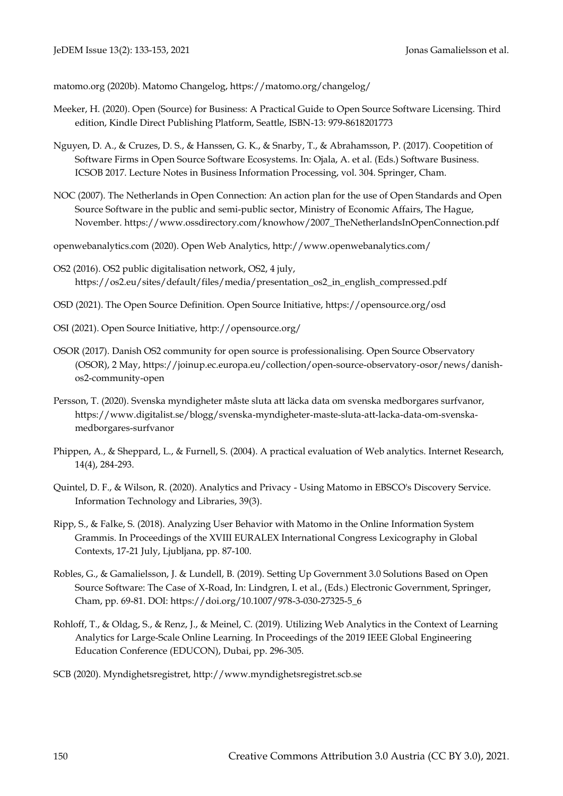matomo.org (2020b). Matomo Changelog, https://matomo.org/changelog/

- Meeker, H. (2020). Open (Source) for Business: A Practical Guide to Open Source Software Licensing. Third edition, Kindle Direct Publishing Platform, Seattle, ISBN-13: 979-8618201773
- Nguyen, D. A., & Cruzes, D. S., & Hanssen, G. K., & Snarby, T., & Abrahamsson, P. (2017). Coopetition of Software Firms in Open Source Software Ecosystems. In: Ojala, A. et al. (Eds.) Software Business. ICSOB 2017. Lecture Notes in Business Information Processing, vol. 304. Springer, Cham.
- NOC (2007). The Netherlands in Open Connection: An action plan for the use of Open Standards and Open Source Software in the public and semi-public sector, Ministry of Economic Affairs, The Hague, November. https://www.ossdirectory.com/knowhow/2007\_TheNetherlandsInOpenConnection.pdf
- openwebanalytics.com (2020). Open Web Analytics, http://www.openwebanalytics.com/
- OS2 (2016). OS2 public digitalisation network, OS2, 4 july, https://os2.eu/sites/default/files/media/presentation\_os2\_in\_english\_compressed.pdf
- OSD (2021). The Open Source Definition. Open Source Initiative, https://opensource.org/osd
- OSI (2021). Open Source Initiative, http://opensource.org/
- OSOR (2017). Danish OS2 community for open source is professionalising. Open Source Observatory (OSOR), 2 May, https://joinup.ec.europa.eu/collection/open-source-observatory-osor/news/danishos2-community-open
- Persson, T. (2020). Svenska myndigheter måste sluta att läcka data om svenska medborgares surfvanor, https://www.digitalist.se/blogg/svenska-myndigheter-maste-sluta-att-lacka-data-om-svenskamedborgares-surfvanor
- Phippen, A., & Sheppard, L., & Furnell, S. (2004). A practical evaluation of Web analytics. Internet Research, 14(4), 284-293.
- Quintel, D. F., & Wilson, R. (2020). Analytics and Privacy Using Matomo in EBSCO's Discovery Service. Information Technology and Libraries, 39(3).
- Ripp, S., & Falke, S. (2018). Analyzing User Behavior with Matomo in the Online Information System Grammis. In Proceedings of the XVIII EURALEX International Congress Lexicography in Global Contexts, 17-21 July, Ljubljana, pp. 87-100.
- Robles, G., & Gamalielsson, J. & Lundell, B. (2019). Setting Up Government 3.0 Solutions Based on Open Source Software: The Case of X-Road, In: Lindgren, I. et al., (Eds.) Electronic Government, Springer, Cham, pp. 69-81. DOI: https://doi.org/10.1007/978-3-030-27325-5\_6
- Rohloff, T., & Oldag, S., & Renz, J., & Meinel, C. (2019). Utilizing Web Analytics in the Context of Learning Analytics for Large-Scale Online Learning. In Proceedings of the 2019 IEEE Global Engineering Education Conference (EDUCON), Dubai, pp. 296-305.
- SCB (2020). Myndighetsregistret, [http://www.myndighetsregistret.scb.se](http://www.myndighetsregistret.scb.se/)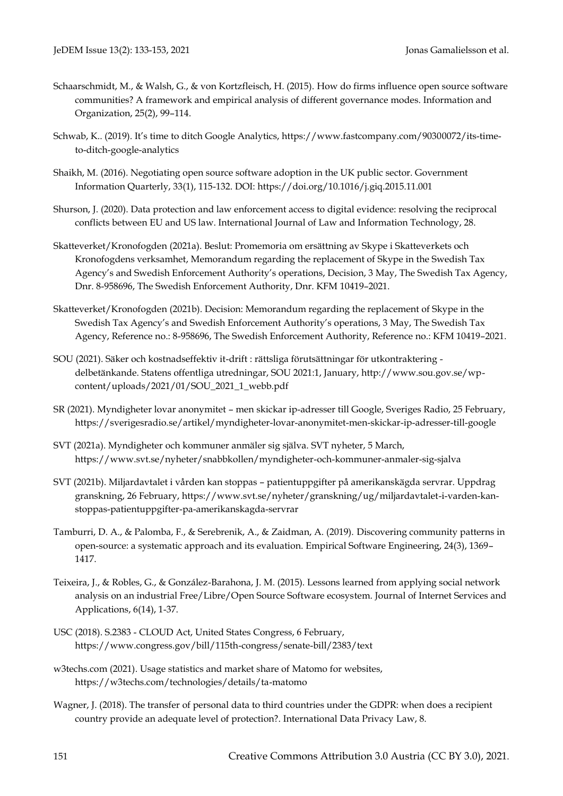- Schaarschmidt, M., & Walsh, G., & von Kortzfleisch, H. (2015). How do firms influence open source software communities? A framework and empirical analysis of different governance modes. Information and Organization, 25(2), 99–114.
- Schwab, K.. (2019). It's time to ditch Google Analytics, https://www.fastcompany.com/90300072/its-timeto-ditch-google-analytics
- Shaikh, M. (2016). Negotiating open source software adoption in the UK public sector. Government Information Quarterly, 33(1), 115-132. DOI: https://doi.org/10.1016/j.giq.2015.11.001
- Shurson, J. (2020). Data protection and law enforcement access to digital evidence: resolving the reciprocal conflicts between EU and US law. International Journal of Law and Information Technology, 28.
- Skatteverket/Kronofogden (2021a). Beslut: Promemoria om ersättning av Skype i Skatteverkets och Kronofogdens verksamhet, Memorandum regarding the replacement of Skype in the Swedish Tax Agency's and Swedish Enforcement Authority's operations, Decision, 3 May, The Swedish Tax Agency, Dnr. 8-958696, The Swedish Enforcement Authority, Dnr. KFM 10419–2021.
- Skatteverket/Kronofogden (2021b). Decision: Memorandum regarding the replacement of Skype in the Swedish Tax Agency's and Swedish Enforcement Authority's operations, 3 May, The Swedish Tax Agency, Reference no.: 8-958696, The Swedish Enforcement Authority, Reference no.: KFM 10419–2021.
- SOU (2021). Säker och kostnadseffektiv it-drift : rättsliga förutsättningar för utkontraktering delbetänkande. Statens offentliga utredningar, SOU 2021:1, January, http://www.sou.gov.se/wpcontent/uploads/2021/01/SOU\_2021\_1\_webb.pdf
- SR (2021). Myndigheter lovar anonymitet men skickar ip-adresser till Google, Sveriges Radio, 25 February, https://sverigesradio.se/artikel/myndigheter-lovar-anonymitet-men-skickar-ip-adresser-till-google
- SVT (2021a). Myndigheter och kommuner anmäler sig själva. SVT nyheter, 5 March, https://www.svt.se/nyheter/snabbkollen/myndigheter-och-kommuner-anmaler-sig-sjalva
- SVT (2021b). Miljardavtalet i vården kan stoppas patientuppgifter på amerikanskägda servrar. Uppdrag granskning, 26 February, https://www.svt.se/nyheter/granskning/ug/miljardavtalet-i-varden-kanstoppas-patientuppgifter-pa-amerikanskagda-servrar
- Tamburri, D. A., & Palomba, F., & Serebrenik, A., & Zaidman, A. (2019). Discovering community patterns in open-source: a systematic approach and its evaluation. Empirical Software Engineering, 24(3), 1369– 1417.
- Teixeira, J., & Robles, G., & González-Barahona, J. M. (2015). Lessons learned from applying social network analysis on an industrial Free/Libre/Open Source Software ecosystem. Journal of Internet Services and Applications, 6(14), 1-37.
- USC (2018). S.2383 CLOUD Act, United States Congress, 6 February, https://www.congress.gov/bill/115th-congress/senate-bill/2383/text
- w3techs.com (2021). Usage statistics and market share of Matomo for websites, https://w3techs.com/technologies/details/ta-matomo
- Wagner, J. (2018). The transfer of personal data to third countries under the GDPR: when does a recipient country provide an adequate level of protection?. International Data Privacy Law, 8.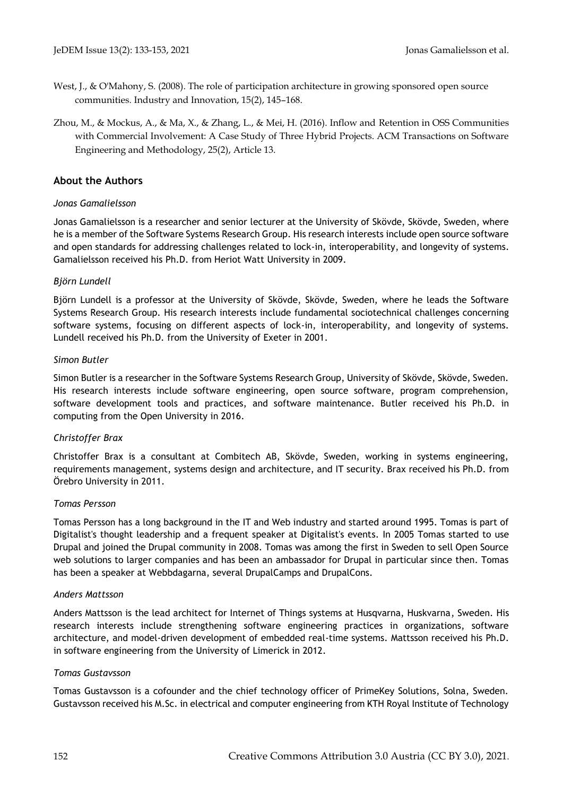- West, J., & O'Mahony, S. (2008). The role of participation architecture in growing sponsored open source communities. Industry and Innovation, 15(2), 145–168.
- Zhou, M., & Mockus, A., & Ma, X., & Zhang, L., & Mei, H. (2016). Inflow and Retention in OSS Communities with Commercial Involvement: A Case Study of Three Hybrid Projects. ACM Transactions on Software Engineering and Methodology, 25(2), Article 13.

## **About the Authors**

### *Jonas Gamalielsson*

Jonas Gamalielsson is a researcher and senior lecturer at the University of Skövde, Skövde, Sweden, where he is a member of the Software Systems Research Group. His research interests include open source software and open standards for addressing challenges related to lock-in, interoperability, and longevity of systems. Gamalielsson received his Ph.D. from Heriot Watt University in 2009.

### *Björn Lundell*

Björn Lundell is a professor at the University of Skövde, Skövde, Sweden, where he leads the Software Systems Research Group. His research interests include fundamental sociotechnical challenges concerning software systems, focusing on different aspects of lock-in, interoperability, and longevity of systems. Lundell received his Ph.D. from the University of Exeter in 2001.

### *Simon Butler*

Simon Butler is a researcher in the Software Systems Research Group, University of Skövde, Skövde, Sweden. His research interests include software engineering, open source software, program comprehension, software development tools and practices, and software maintenance. Butler received his Ph.D. in computing from the Open University in 2016.

## *Christoffer Brax*

Christoffer Brax is a consultant at Combitech AB, Skövde, Sweden, working in systems engineering, requirements management, systems design and architecture, and IT security. Brax received his Ph.D. from Örebro University in 2011.

## *Tomas Persson*

Tomas Persson has a long background in the IT and Web industry and started around 1995. Tomas is part of Digitalist's thought leadership and a frequent speaker at Digitalist's events. In 2005 Tomas started to use Drupal and joined the Drupal community in 2008. Tomas was among the first in Sweden to sell Open Source web solutions to larger companies and has been an ambassador for Drupal in particular since then. Tomas has been a speaker at Webbdagarna, several DrupalCamps and DrupalCons.

#### *Anders Mattsson*

Anders Mattsson is the lead architect for Internet of Things systems at Husqvarna, Huskvarna, Sweden. His research interests include strengthening software engineering practices in organizations, software architecture, and model-driven development of embedded real-time systems. Mattsson received his Ph.D. in software engineering from the University of Limerick in 2012.

#### *Tomas Gustavsson*

Tomas Gustavsson is a cofounder and the chief technology officer of PrimeKey Solutions, Solna, Sweden. Gustavsson received his M.Sc. in electrical and computer engineering from KTH Royal Institute of Technology